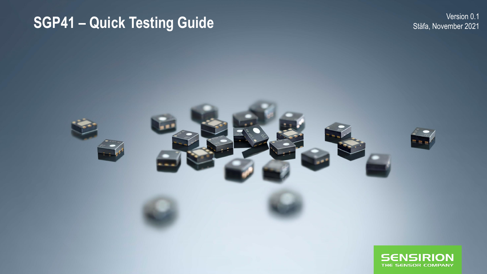## **SGP41 - Quick Testing Guide**

Version 0.1 Stäfa, November 2021

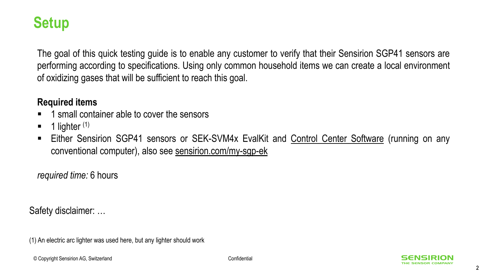#### **Setup**

The goal of this quick testing guide is to enable any customer to verify that their Sensirion SGP41 sensors are performing according to specifications. Using only common household items we can create a local environment of oxidizing gases that will be sufficient to reach this goal.

#### **Required items**

- 1 small container able to cover the sensors
- $\blacksquare$  1 lighter  $(1)$
- **Either Sensirion SGP41 sensors or SEK-SVM4x EvalKit and Control Center [Software](https://www.sensirion.com/de/controlcenter/) (running on any** conventional computer), also see <sensirion.com/my-sgp-ek>

*required time:* 6 hours

Safety disclaimer: …

(1) An electric arc lighter was used here, but any lighter should work

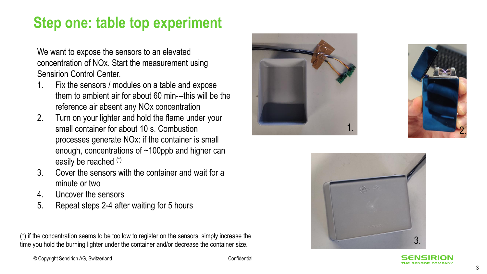### **Step one: table top experiment**

We want to expose the sensors to an elevated concentration of NOx. Start the measurement using Sensirion Control Center.

- 1. Fix the sensors / modules on a table and expose them to ambient air for about 60 min---this will be the reference air absent any NOx concentration
- 2. Turn on your lighter and hold the flame under your small container for about 10 s. Combustion processes generate NOx: if the container is small enough, concentrations of ~100ppb and higher can easily be reached (\*)
- 3. Cover the sensors with the container and wait for a minute or two
- 4. Uncover the sensors
- 5. Repeat steps 2 -4 after waiting for 5 hours

3. (\*) if the concentration seems to be too low to register on the sensors, simply increase the time you hold the burning lighter under the container and/or decrease the container size.







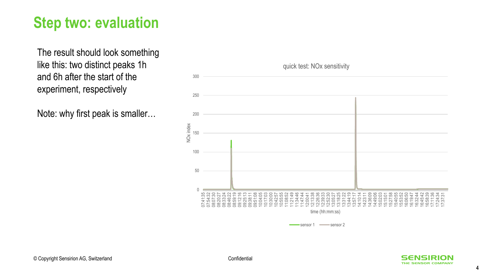### **Step two: evaluation**

The result should look something like this: two distinct peaks 1h and 6h after the start of the experiment, respectively

Note: why first peak is smaller…



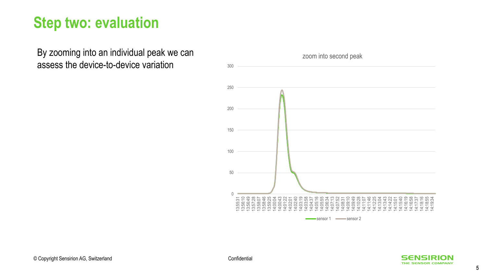#### **Step two: evaluation**

By zooming into an individual peak we can assess the device-to-device variation